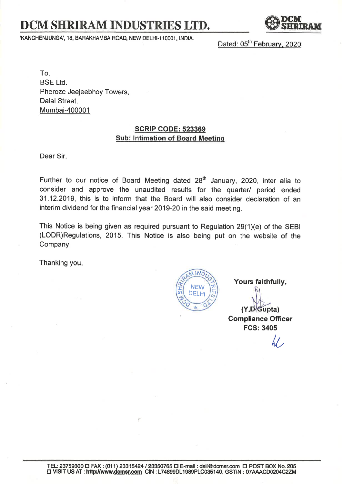## DCM SHRIRAM INDUSTRIES LTD.

'KANCHENJUNGA', 18, BARAKHAMBA ROAD, NEW DELHI-110001, INDIA.

Dated: 05<sup>th</sup> February, 2020

To, BSE Ltd. Pheroze Jeejeebhoy Towers, Dalal Street, Mumbai-400001

## SCRIP GODE: 523369 Sub: lntimation of Board Meetinq

Dear Sir,

Further to our notice of Board Meeting dated  $28<sup>th</sup>$  January, 2020, inter alia to consider and approve the unaudited results for the quarter/ period ended 31.12.2019, this is to inform that the Board will also consider declaration of an interim dividend for the financial year 2019-20 in the said meeting.

This Notice is being given as required pursuant to Regulation 29(1)(e) of the SEBI (LODR)Regulations, 2015. This Notice is also being put on the website of the Company.

Thanking you,

 ${\frac{1}{10}}$ **MIND** NEW DELH, <u>ጆ</u> m h

Yours faithfully,

 $(Y.D.Gupta)$ Gompliance Officer FGS:3405

 $\cal U$